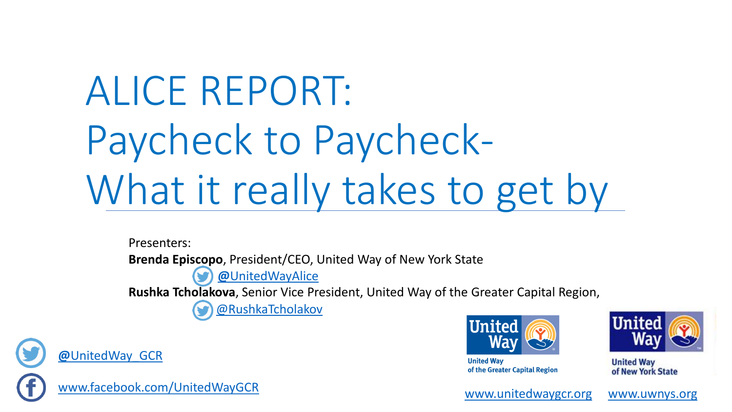# ALICE REPORT: Paycheck to Paycheck-What it really takes to get by

Presenters: **Brenda Epi[scop](https://twitter.com/UnitedWay_GCR)o**, President/CEO, United Way of New York State **@**[UnitedWayAlice](https://twitter.com/UnitedWay_GCR) **Rushka Tch[olak](https://twitter.com/UnitedWay_GCR)ova**, Senior Vice President, United Way of the Greater Capital Region, [@RushkaTcholakov](https://twitter.com/RushkaTcholakov)



**@**[UnitedWay\\_GCR](https://twitter.com/UnitedWay_GCR)





**United Way** of the Greater Capital Region



**United Way** of New York State

[www.unitedwaygcr.org](http://www.unitedwaygcr.org/) [www.uwnys.org](http://www.uwnys.org/)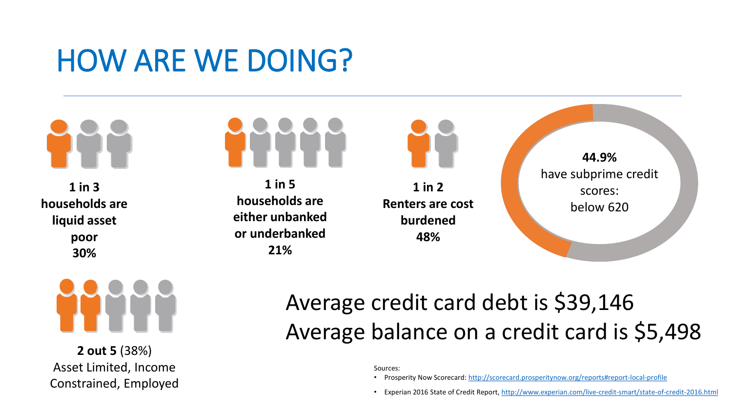# HOW ARE WE DOING?

**1 in 3 households are liquid asset poor 30%**



**2 out 5** (38%) Asset Limited, Income Constrained, Employed



**1 in 5 households are either unbanked or underbanked 21%**

**1 in 2 Renters are cost burdened 48%**

**44.9%**  have subprime credit scores: below 620

### Average credit card debt is \$39,146 Average balance on a credit card is \$5,498

Sources:

- Prosperity Now Scorecard:<http://scorecard.prosperitynow.org/reports#report-local-profile>
- Experian 2016 State of Credit Report, <http://www.experian.com/live-credit-smart/state-of-credit-2016.html>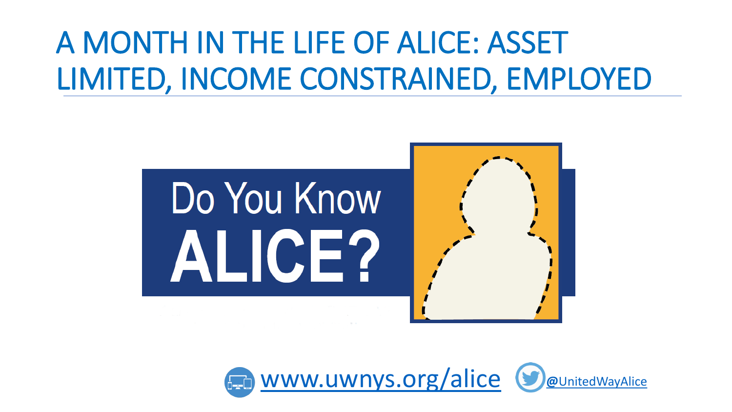# A MONTH IN THE LIFE OF ALICE: ASSET LIMITED, INCOME CONSTRAINED, EMPLOYED



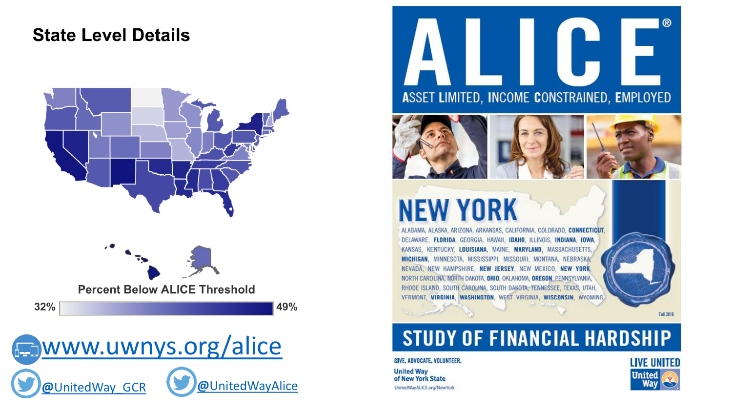#### **State Level Details**







® ASSET LIMITED, INCOME CONSTRAINED, EMPLOYED



# **NEW YORK**

ALABAMA, ALASKA, ARIZONA, ARKANSAS, CALIFORNIA, COLORADO, CONNECTICUT. DELAWARE, FLORIDA, GEORGIA, HAWAII, IDAHO, ILLINOIS, INDIANA, IOWA, KANSAS, KENTUCKY, LOUISIANA, MAINE, MARYLAND, MASSACHUSETTS MICHIGAN, MINNESOTA, MISSISSIPPI, MISSOURI, MONTANA, NEBRASKA, NEVADA, NEW HAMPSHIRE, NEW JERSEY, NEW MEXICO, NEW YORK, NORTH CAROLINA, NORTH DAKOTA, OHIO, OKLAHOMA, OREGON, PENNSYLVANIA, RHODE ISLAND, SOUTH CAROLINA, SOUTH DAKOTA, TENNESSEE, TEXAS, UTAH, VERMONT, VIRGINIA, WASHINGTON, WEST VIRGINIA, WISCONSIN, WYOMING



#### **STUDY OF FINANCIAL HARDSHIP**

GIVE, ADVOCATE, VOLUNTEER.

**United Way** of New York State UnitedWayALICE.org/NewYork



Fall 2016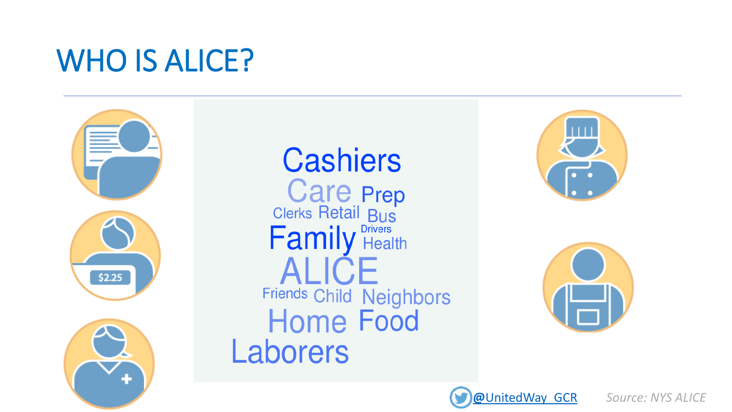## WHO IS ALICE?



# **Cashiers** Care Prep<br>Clerks Retail Bus<br>**Family** Health Friends Child Neighbors<br>Home Food Laborers





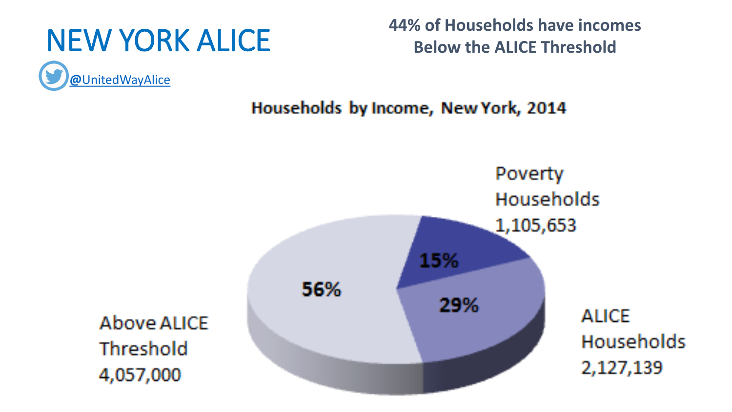

**@**[UnitedWayAlice](https://twitter.com/UnitedWay_GCR)

NEW YORK ALICE **44% of Households have incomes Below the ALICE Threshold**



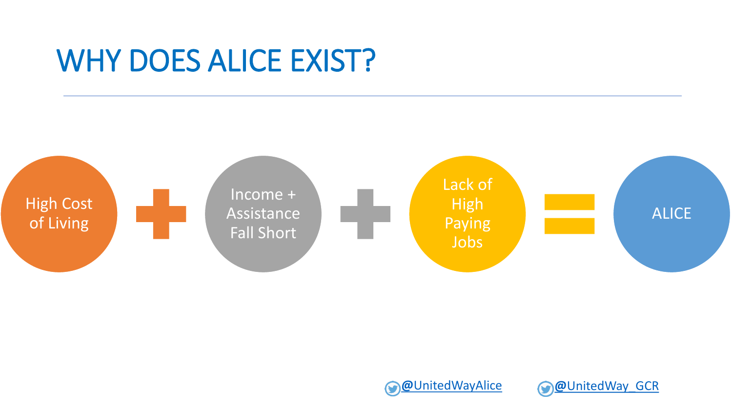### WHY DOES ALICE EXIST?





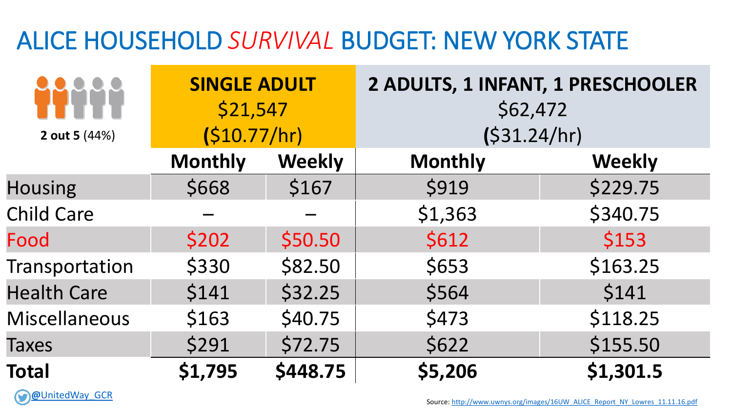### ALICE HOUSEHOLD *SURVIVAL* BUDGET: NEW YORK STATE

|                      | <b>SINGLE ADULT</b><br>\$21,547<br>(S10.77/hr) |               | 2 ADULTS, 1 INFANT, 1 PRESCHOOLER<br>\$62,472<br>(531.24/hr) |               |
|----------------------|------------------------------------------------|---------------|--------------------------------------------------------------|---------------|
| 2 out 5 (44%)        |                                                |               |                                                              |               |
|                      | <b>Monthly</b>                                 | <b>Weekly</b> | <b>Monthly</b>                                               | <b>Weekly</b> |
| <b>Housing</b>       | \$668                                          | \$167         | \$919                                                        | \$229.75      |
| <b>Child Care</b>    |                                                |               | \$1,363                                                      | \$340.75      |
| Food                 | \$202                                          | \$50.50       | \$612                                                        | \$153         |
| Transportation       | \$330                                          | \$82.50       | \$653                                                        | \$163.25      |
| <b>Health Care</b>   | \$141                                          | \$32.25       | \$564                                                        | \$141         |
| <b>Miscellaneous</b> | \$163                                          | \$40.75       | \$473                                                        | \$118.25      |
| <b>Taxes</b>         | \$291                                          | \$72.75       | \$622                                                        | \$155.50      |
| <b>Total</b>         | \$1,795                                        | \$448.75      | \$5,206                                                      | \$1,301.5     |

**@**[UnitedWay\\_GCR](https://twitter.com/UnitedWay_GCR)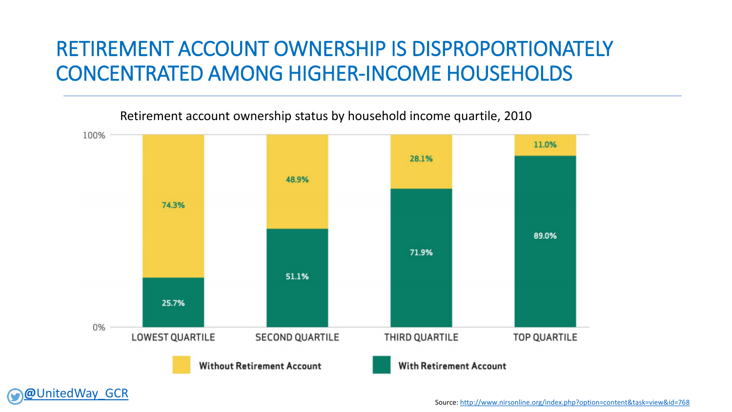### RETIREMENT ACCOUNT OWNERSHIP IS DISPROPORTIONATELY CONCENTRATED AMONG HIGHER-INCOME HOUSEHOLDS



Retirement account ownership status by household income quartile, 2010

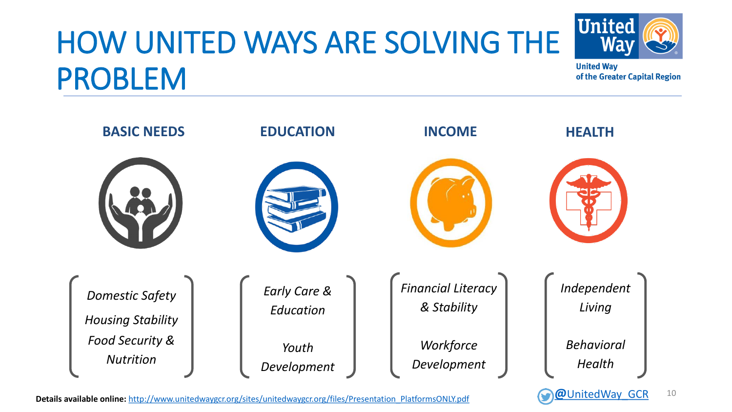# HOW UNITED WAYS ARE SOLVING THE PROBLEM



**United Way** of the Greater Capital Region



**Details available online:** [http://www.unitedwaygcr.org/sites/unitedwaygcr.org/files/Presentation\\_PlatformsONLY.pdf](http://www.unitedwaygcr.org/sites/unitedwaygcr.org/files/Presentation_PlatformsONLY.pdf) **@[UnitedWay\\_GCR](https://twitter.com/UnitedWay_GCR)** 

10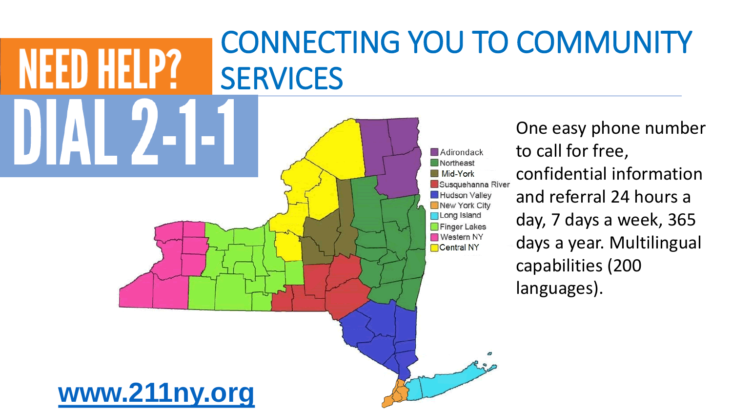### NFFD HFI P? **SERVICES** One easy phone number Adirondack Northeast Mid-York Susquehanna River Hudson Valley New York City **Long Island** Finger Lakes **Nestern NY Central NY** languages). **[www.211ny.org](http://www.211neny.org/)**

# CONNECTING YOU TO COMMUNITY

to call for free, confidential information and referral 24 hours a day, 7 days a week, 365 days a year. Multilingual capabilities (200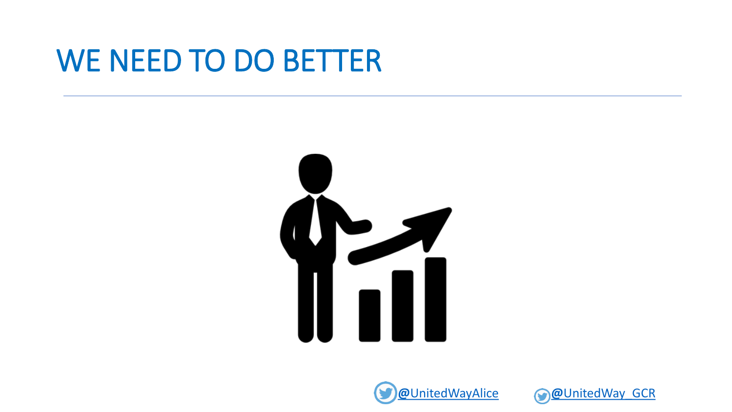### WE NEED TO DO BETTER